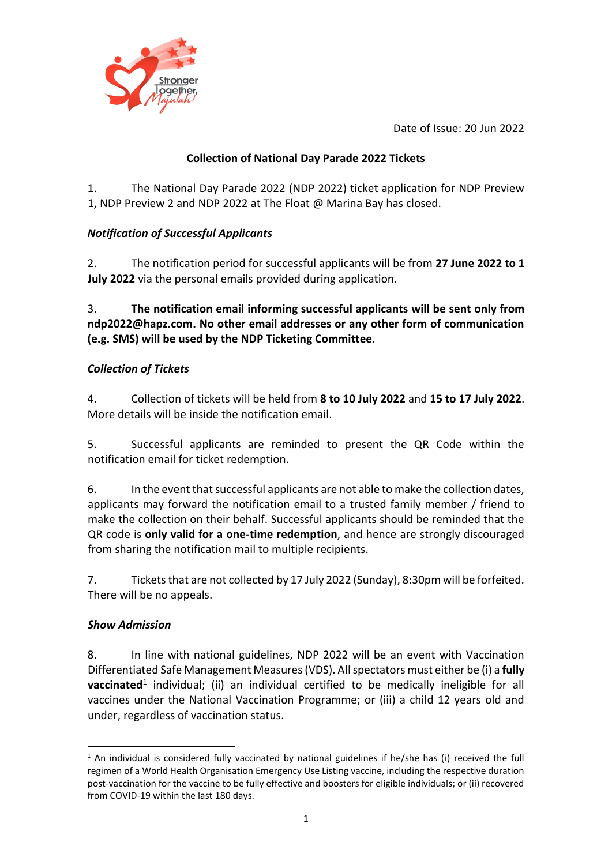Date of Issue: 20 Jun 2022



### **Collection of National Day Parade 2022 Tickets**

1. The National Day Parade 2022 (NDP 2022) ticket application for NDP Preview 1, NDP Preview 2 and NDP 2022 at The Float @ Marina Bay has closed.

# *Notification of Successful Applicants*

2. The notification period for successful applicants will be from **27 June 2022 to 1 July 2022** via the personal emails provided during application.

3. **The notification email informing successful applicants will be sent only from ndp2022@hapz.com. No other email addresses or any other form of communication (e.g. SMS) will be used by the NDP Ticketing Committee**.

# *Collection of Tickets*

4. Collection of tickets will be held from **8 to 10 July 2022** and **15 to 17 July 2022**. More details will be inside the notification email.

5. Successful applicants are reminded to present the QR Code within the notification email for ticket redemption.

6. In the event that successful applicants are not able to make the collection dates, applicants may forward the notification email to a trusted family member / friend to make the collection on their behalf. Successful applicants should be reminded that the QR code is **only valid for a one-time redemption**, and hence are strongly discouraged from sharing the notification mail to multiple recipients.

7. Tickets that are not collected by 17 July 2022 (Sunday), 8:30pm will be forfeited. There will be no appeals.

## *Show Admission*

**.** 

8. In line with national guidelines, NDP 2022 will be an event with Vaccination Differentiated Safe Management Measures (VDS). All spectators must either be (i) a **fully vaccinated**<sup>1</sup> individual; (ii) an individual certified to be medically ineligible for all vaccines under the National Vaccination Programme; or (iii) a child 12 years old and under, regardless of vaccination status.

 $<sup>1</sup>$  An individual is considered fully vaccinated by national guidelines if he/she has (i) received the full</sup> regimen of a World Health Organisation Emergency Use Listing vaccine, including the respective duration post-vaccination for the vaccine to be fully effective and boosters for eligible individuals; or (ii) recovered from COVID-19 within the last 180 days.